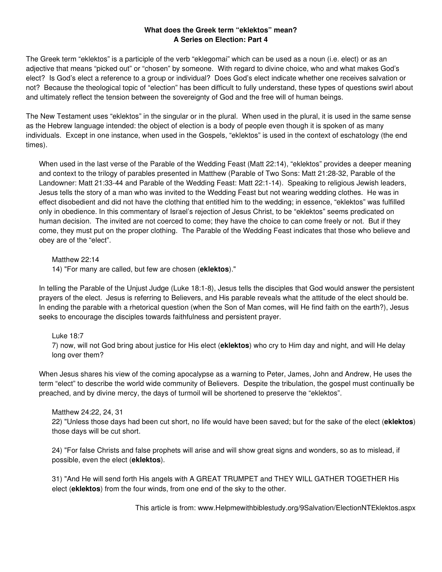# **What does the Greek term "eklektos" mean? A Series on Election: Part 4**

The Greek term "eklektos" is a participle of the verb "eklegomai" which can be used as a noun (i.e. elect) or as an adjective that means "picked out" or "chosen" by someone. With regard to divine choice, who and what makes God's elect? Is God's elect a reference to a group or individual? Does God's elect indicate whether one receives salvation or not? Because the theological topic of "election" has been difficult to fully understand, these types of questions swirl about and ultimately reflect the tension between the sovereignty of God and the free will of human beings.

The New Testament uses "eklektos" in the singular or in the plural. When used in the plural, it is used in the same sense as the Hebrew language intended: the object of election is a body of people even though it is spoken of as many individuals. Except in one instance, when used in the Gospels, "eklektos" is used in the context of eschatology (the end times).

When used in the last verse of the Parable of the Wedding Feast (Matt 22:14), "eklektos" provides a deeper meaning and context to the trilogy of parables presented in Matthew (Parable of Two Sons: Matt 21:28-32, Parable of the Landowner: Matt 21:33-44 and Parable of the Wedding Feast: Matt 22:1-14). Speaking to religious Jewish leaders, Jesus tells the story of a man who was invited to the Wedding Feast but not wearing wedding clothes. He was in effect disobedient and did not have the clothing that entitled him to the wedding; in essence, "eklektos" was fulfilled only in obedience. In this commentary of Israel's rejection of Jesus Christ, to be "eklektos" seems predicated on human decision. The invited are not coerced to come; they have the choice to can come freely or not. But if they come, they must put on the proper clothing. The Parable of the Wedding Feast indicates that those who believe and obey are of the "elect".

Matthew 22:14

14) "For many are called, but few are chosen (**eklektos**)."

In telling the Parable of the Unjust Judge (Luke 18:1-8), Jesus tells the disciples that God would answer the persistent prayers of the elect. Jesus is referring to Believers, and His parable reveals what the attitude of the elect should be. In ending the parable with a rhetorical question (when the Son of Man comes, will He find faith on the earth?), Jesus seeks to encourage the disciples towards faithfulness and persistent prayer.

Luke 18:7

7) now, will not God bring about justice for His elect (**eklektos**) who cry to Him day and night, and will He delay long over them?

When Jesus shares his view of the coming apocalypse as a warning to Peter, James, John and Andrew, He uses the term "elect" to describe the world wide community of Believers. Despite the tribulation, the gospel must continually be preached, and by divine mercy, the days of turmoil will be shortened to preserve the "eklektos".

### Matthew 24:22, 24, 31

22) "Unless those days had been cut short, no life would have been saved; but for the sake of the elect (**eklektos**) those days will be cut short.

24) "For false Christs and false prophets will arise and will show great signs and wonders, so as to mislead, if possible, even the elect (**eklektos**).

31) "And He will send forth His angels with A GREAT TRUMPET and THEY WILL GATHER TOGETHER His elect (**eklektos**) from the four winds, from one end of the sky to the other.

This article is from: www.Helpmewithbiblestudy.org/9Salvation/ElectionNTEklektos.aspx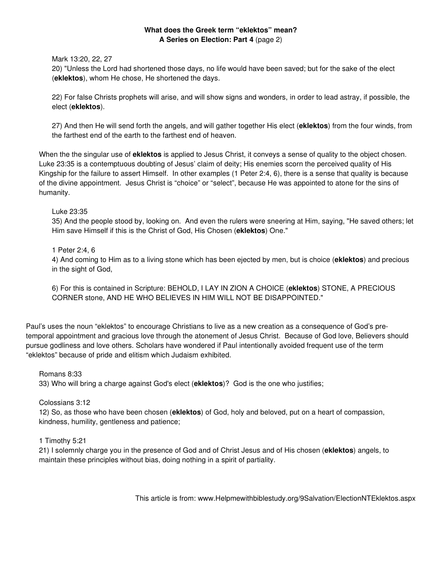# **What does the Greek term "eklektos" mean? A Series on Election: Part 4** (page 2)

Mark 13:20, 22, 27

20) "Unless the Lord had shortened those days, no life would have been saved; but for the sake of the elect (**eklektos**), whom He chose, He shortened the days.

22) For false Christs prophets will arise, and will show signs and wonders, in order to lead astray, if possible, the elect (**eklektos**).

27) And then He will send forth the angels, and will gather together His elect (**eklektos**) from the four winds, from the farthest end of the earth to the farthest end of heaven.

When the the singular use of **eklektos** is applied to Jesus Christ, it conveys a sense of quality to the object chosen. Luke 23:35 is a contemptuous doubting of Jesus' claim of deity; His enemies scorn the perceived quality of His Kingship for the failure to assert Himself. In other examples (1 Peter 2:4, 6), there is a sense that quality is because of the divine appointment. Jesus Christ is "choice" or "select", because He was appointed to atone for the sins of humanity.

Luke 23:35

35) And the people stood by, looking on. And even the rulers were sneering at Him, saying, "He saved others; let Him save Himself if this is the Christ of God, His Chosen (**eklektos**) One."

1 Peter 2:4, 6

4) And coming to Him as to a living stone which has been ejected by men, but is choice (**eklektos**) and precious in the sight of God,

6) For this is contained in Scripture: BEHOLD, I LAY IN ZION A CHOICE (**eklektos**) STONE, A PRECIOUS CORNER stone, AND HE WHO BELIEVES IN HIM WILL NOT BE DISAPPOINTED."

Paul's uses the noun "eklektos" to encourage Christians to live as a new creation as a consequence of God's pretemporal appointment and gracious love through the atonement of Jesus Christ. Because of God love, Believers should pursue godliness and love others. Scholars have wondered if Paul intentionally avoided frequent use of the term "eklektos" because of pride and elitism which Judaism exhibited.

Romans 8:33

33) Who will bring a charge against God's elect (**eklektos**)? God is the one who justifies;

Colossians 3:12

12) So, as those who have been chosen (**eklektos**) of God, holy and beloved, put on a heart of compassion, kindness, humility, gentleness and patience;

1 Timothy 5:21

21) I solemnly charge you in the presence of God and of Christ Jesus and of His chosen (**eklektos**) angels, to maintain these principles without bias, doing nothing in a spirit of partiality.

This article is from: www.Helpmewithbiblestudy.org/9Salvation/ElectionNTEklektos.aspx